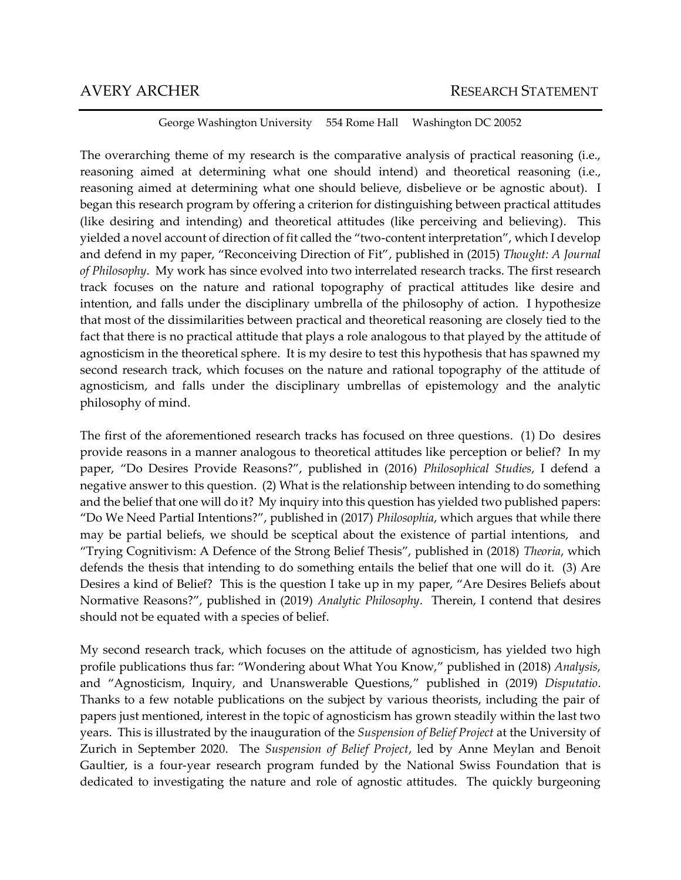George Washington University 554 Rome Hall Washington DC 20052

The overarching theme of my research is the comparative analysis of practical reasoning (i.e., reasoning aimed at determining what one should intend) and theoretical reasoning (i.e., reasoning aimed at determining what one should believe, disbelieve or be agnostic about). I began this research program by offering a criterion for distinguishing between practical attitudes (like desiring and intending) and theoretical attitudes (like perceiving and believing). This yielded a novel account of direction of fit called the "two-content interpretation", which I develop and defend in my paper, "Reconceiving Direction of Fit", published in (2015) *Thought: A Journal of Philosophy*. My work has since evolved into two interrelated research tracks. The first research track focuses on the nature and rational topography of practical attitudes like desire and intention, and falls under the disciplinary umbrella of the philosophy of action. I hypothesize that most of the dissimilarities between practical and theoretical reasoning are closely tied to the fact that there is no practical attitude that plays a role analogous to that played by the attitude of agnosticism in the theoretical sphere. It is my desire to test this hypothesis that has spawned my second research track, which focuses on the nature and rational topography of the attitude of agnosticism, and falls under the disciplinary umbrellas of epistemology and the analytic philosophy of mind.

The first of the aforementioned research tracks has focused on three questions. (1) Do desires provide reasons in a manner analogous to theoretical attitudes like perception or belief? In my paper, "Do Desires Provide Reasons?", published in (2016) *Philosophical Studies*, I defend a negative answer to this question. (2) What is the relationship between intending to do something and the belief that one will do it? My inquiry into this question has yielded two published papers: "Do We Need Partial Intentions?", published in (2017) *Philosophia*, which argues that while there may be partial beliefs, we should be sceptical about the existence of partial intentions, and "Trying Cognitivism: A Defence of the Strong Belief Thesis", published in (2018) *Theoria*, which defends the thesis that intending to do something entails the belief that one will do it. (3) Are Desires a kind of Belief? This is the question I take up in my paper, "Are Desires Beliefs about Normative Reasons?", published in (2019) *Analytic Philosophy*. Therein, I contend that desires should not be equated with a species of belief.

My second research track, which focuses on the attitude of agnosticism, has yielded two high profile publications thus far: "Wondering about What You Know," published in (2018) *Analysis*, and "Agnosticism, Inquiry, and Unanswerable Questions," published in (2019) *Disputatio*. Thanks to a few notable publications on the subject by various theorists, including the pair of papers just mentioned, interest in the topic of agnosticism has grown steadily within the last two years. This is illustrated by the inauguration of the *Suspension of Belief Project* at the University of Zurich in September 2020. The *Suspension of Belief Project*, led by Anne Meylan and Benoit Gaultier, is a four-year research program funded by the National Swiss Foundation that is dedicated to investigating the nature and role of agnostic attitudes. The quickly burgeoning